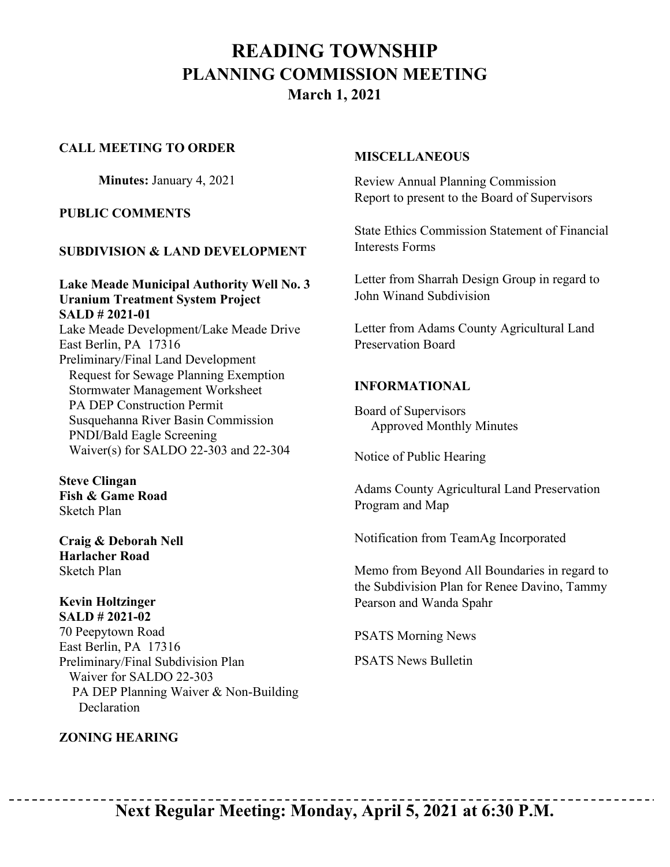# **READING TOWNSHIP PLANNING COMMISSION MEETING March 1, 2021**

#### **CALL MEETING TO ORDER**

**Minutes:** January 4, 2021

#### **PUBLIC COMMENTS**

#### **SUBDIVISION & LAND DEVELOPMENT**

**Lake Meade Municipal Authority Well No. 3 Uranium Treatment System Project SALD # 2021-01** Lake Meade Development/Lake Meade Drive East Berlin, PA 17316 Preliminary/Final Land Development Request for Sewage Planning Exemption Stormwater Management Worksheet PA DEP Construction Permit Susquehanna River Basin Commission PNDI/Bald Eagle Screening Waiver(s) for SALDO 22-303 and 22-304

**Steve Clingan Fish & Game Road** Sketch Plan

**Craig & Deborah Nell Harlacher Road** Sketch Plan

#### **Kevin Holtzinger SALD # 2021-02**

70 Peepytown Road East Berlin, PA 17316 Preliminary/Final Subdivision Plan Waiver for SALDO 22-303 PA DEP Planning Waiver & Non-Building **Declaration** 

## **ZONING HEARING**

#### **MISCELLANEOUS**

Review Annual Planning Commission Report to present to the Board of Supervisors

State Ethics Commission Statement of Financial Interests Forms

Letter from Sharrah Design Group in regard to John Winand Subdivision

Letter from Adams County Agricultural Land Preservation Board

### **INFORMATIONAL**

Board of Supervisors Approved Monthly Minutes

Notice of Public Hearing

Adams County Agricultural Land Preservation Program and Map

Notification from TeamAg Incorporated

Memo from Beyond All Boundaries in regard to the Subdivision Plan for Renee Davino, Tammy Pearson and Wanda Spahr

PSATS Morning News

PSATS News Bulletin